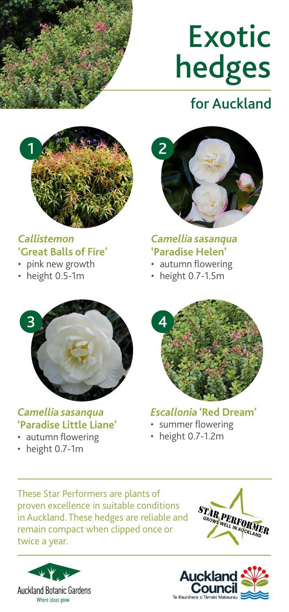

# Exotic hedges

## for Auckland



#### *Callistemon*  **'Great Balls of Fire'**

- pink new growth
- height 0.5-1m



*Camellia sasanqua*  **'Paradise Helen'** 

- autumn flowering
- height 0.7-1.5m



#### *Camellia sasanqua* **'Paradise Little Liane'**

- autumn flowering
- height 0.7-1m



*Escallonia* **'Red Dream'** 

- summer flowering
- height 0.7-1.2m

These Star Performers are plants of proven excellence in suitable conditions in Auckland. These hedges are reliable and remain compact when clipped once or twice a year.





STAR PERFORMER